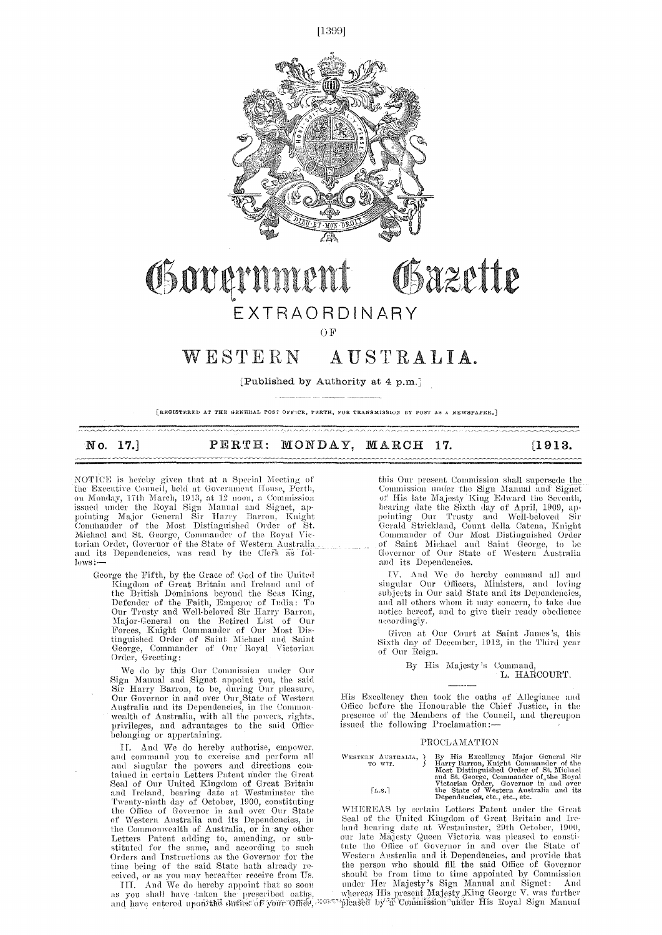



## Osazette Government EXTRAORDINARY

OF<sub>1</sub>

## WESTERN AUSTRALIA.

[Published by Authority at 4 p.m.]

[REGISTERED AT THE GENERAL POST ONFICE, PERTH, FOR TRANSMISSION BY POST AS A NEWSPAPER.]

| No. 17.] |  | PERTH: MONDAY, MARCH 17. |  | $\begin{bmatrix} 1913. \end{bmatrix}$ |
|----------|--|--------------------------|--|---------------------------------------|

NOTICE is hereby given that at a Special Meeting the Executive Council, held at Government House, Perth, on Monday, 17th March, 1913, at 12 noon, a Commission issued under the Royal Sign Manual and Signet, ap-<br>pointing Major General Sir Harry Barron, Knight Comthander of the Most Distinguished Order of St. Michael and St. George, Commander of the Royal Victorian Order, Governor of the State of Western Australia<br>and its Dependencies, was read by the Clerk as follows:

George the Fifth, by the Grace of God of the United Kingdom of Great Britain and Ireland and of the British Dominions beyond the Seas King, Defender of the Faith, Emperor of India: To Our Trusty and Well-beloved Sir Harry Barron, Major-General on the Retired List of Our Forces, Knight Commander of Our Most Dis-tinguished Order of Saint Michael and Saint George, Commander of Our Royal Victorian Order, Greeting:

We do by this Our Commission under Our Sign Manual and Signet appoint you, the said Sir Harry Barron, to be, during Our pleasure, Our Governor in and over Our State of Western Australia and its Dependencies, in the Common-wealth of Australia, with all the powers, rights, privileges, and advantages to the said Office belonging or appertaining.

TT. And. We do hereby authorise, empower, and cmumand you to exercise and perform\_ all and singular the powers and directions contained in certain Letters Patent ander the Great Seal of Our United Kingdom of Great Britain and Ireland, bearing date at Westminster the Twenty-ninth day of October, 1900, constituting the Office of Governor in and over Our State of Western Australia and its Dependencies, in the Commonwealth of Australia, or in any other<br>Letters Patent adding to, amending, or substituted for the same, and according to such Orders and Instructions as the Governor for the time being of the said State bath already re-

eeived, or as you may hereafter receive from Us.<br>III. And We do hereby appoint that so soon<br>as you shall have taken the prescribed oatlis, and have entered upon7the duties of your

this Our present Commission shall supersede the Commission under the Sign Manual and Signet of His late Majesty King Edward the Seventh, Dearing date the Sixth day of April, 1909, ap-pointing Our Trusty and Well-beloved Sir Gerald Strickland, Count della, Catena, Knight Commander of Our Most Distinguished Order of Saint Michael and Saint George, to be Governor of Our State of Western Australia and its Dependencies.

IV. And We do hereby command all and singular Our Officers, Ministers, and loving subjects in Our said. State and its Dependencies, and all others whom it may concern, to take due notice hereof, and to give their ready obedience accordingly.

Given at Our Court at Saint James's, this Sixth day of December, 1912, in the Third year of Our Reign.

> By His Majesty's Command, L. HARCOURT.

His Excellency then took the oaths of Allegiance and Office before the Honourable the Chief Justice, in the presence of the Members of the Council, and thereupon issued the following Proclamation:—

## PROCLAMATION

 $\begin{tabular}{ll} We\textsc{steran}{{\tt AUSTRALIA}} & By \textsc{ His} Excellency \textsc{Major} \textsc{General} \textsc{ Sir}\\ \textsc{To wtr.} &\textsc{Harry Barron}, \textsc{Knight} \textsc{Commander} \textsc{of the} \textsc{Most} \textsc{Distingulated Order of} \textsc{fs.} \textsc{Michael} \textsc{of} \textsc{and} \textsc{St.} \textsc{George}, \textsc{Commander of} \textsc{the} \textsc{Ray} \textsc{Bryal} \\\textsc{Victorian Order}, \textsc{Government} \textsc{of} \textsc{when} \textsc{fule} \textsc{State$  $\lceil$ L.S.]

WILDREAS by certain Letters Patent under the Great Seal of the United Kingdom of Great Britain and Ireland bearing date at Westminster, 29th October, 1900, our late Majesty Queen Victoria was pleased to consti-tute the Office of Governor in and over the State of Western Australia and it Dependencies, and provide that the person who should fill the said Office of Governor should be from time to time appointed by Commission\_ under Her Majesty's Sign Manual and Signet: And Iis present Majesty King George V. was further Uoniniission under His Royal Sign Manual